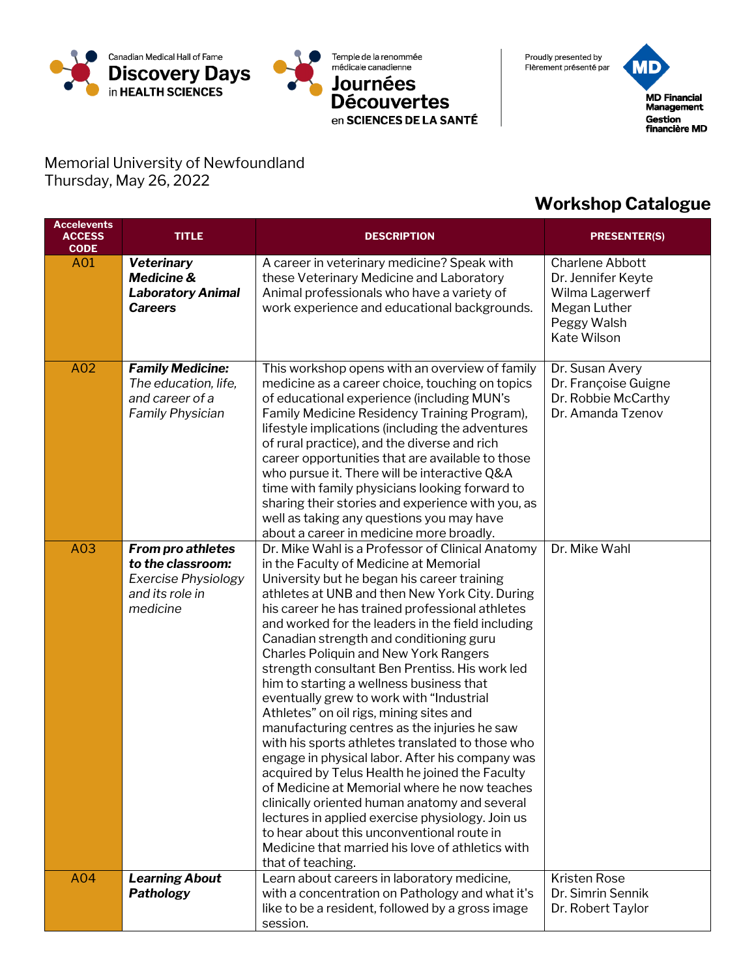



Proudly presented by Flèrement présenté par

MD **MD Financial** Management Gestion<br>financière MD

Memorial University of Newfoundland Thursday, May 26, 2022

## **Workshop Catalogue**

| <b>Accelevents</b><br><b>ACCESS</b><br><b>CODE</b> | <b>TITLE</b>                                                                                        | <b>DESCRIPTION</b>                                                                                                                                                                                                                                                                                                                                                                                                                                                                                                                                                                                                                                                                                                                                                                                                                                                                                                                                                                                                                                                       | <b>PRESENTER(S)</b>                                                                                           |
|----------------------------------------------------|-----------------------------------------------------------------------------------------------------|--------------------------------------------------------------------------------------------------------------------------------------------------------------------------------------------------------------------------------------------------------------------------------------------------------------------------------------------------------------------------------------------------------------------------------------------------------------------------------------------------------------------------------------------------------------------------------------------------------------------------------------------------------------------------------------------------------------------------------------------------------------------------------------------------------------------------------------------------------------------------------------------------------------------------------------------------------------------------------------------------------------------------------------------------------------------------|---------------------------------------------------------------------------------------------------------------|
| A01                                                | <b>Veterinary</b><br><b>Medicine &amp;</b><br><b>Laboratory Animal</b><br><b>Careers</b>            | A career in veterinary medicine? Speak with<br>these Veterinary Medicine and Laboratory<br>Animal professionals who have a variety of<br>work experience and educational backgrounds.                                                                                                                                                                                                                                                                                                                                                                                                                                                                                                                                                                                                                                                                                                                                                                                                                                                                                    | <b>Charlene Abbott</b><br>Dr. Jennifer Keyte<br>Wilma Lagerwerf<br>Megan Luther<br>Peggy Walsh<br>Kate Wilson |
| A02                                                | <b>Family Medicine:</b><br>The education, life,<br>and career of a<br><b>Family Physician</b>       | This workshop opens with an overview of family<br>medicine as a career choice, touching on topics<br>of educational experience (including MUN's<br>Family Medicine Residency Training Program),<br>lifestyle implications (including the adventures<br>of rural practice), and the diverse and rich<br>career opportunities that are available to those<br>who pursue it. There will be interactive Q&A<br>time with family physicians looking forward to<br>sharing their stories and experience with you, as<br>well as taking any questions you may have<br>about a career in medicine more broadly.                                                                                                                                                                                                                                                                                                                                                                                                                                                                  | Dr. Susan Avery<br>Dr. Françoise Guigne<br>Dr. Robbie McCarthy<br>Dr. Amanda Tzenov                           |
| A03                                                | <b>From pro athletes</b><br>to the classroom:<br>Exercise Physiology<br>and its role in<br>medicine | Dr. Mike Wahl is a Professor of Clinical Anatomy<br>in the Faculty of Medicine at Memorial<br>University but he began his career training<br>athletes at UNB and then New York City. During<br>his career he has trained professional athletes<br>and worked for the leaders in the field including<br>Canadian strength and conditioning guru<br><b>Charles Poliquin and New York Rangers</b><br>strength consultant Ben Prentiss. His work led<br>him to starting a wellness business that<br>eventually grew to work with "Industrial<br>Athletes" on oil rigs, mining sites and<br>manufacturing centres as the injuries he saw<br>with his sports athletes translated to those who<br>engage in physical labor. After his company was<br>acquired by Telus Health he joined the Faculty<br>of Medicine at Memorial where he now teaches<br>clinically oriented human anatomy and several<br>lectures in applied exercise physiology. Join us<br>to hear about this unconventional route in<br>Medicine that married his love of athletics with<br>that of teaching. | Dr. Mike Wahl                                                                                                 |
| A04                                                | <b>Learning About</b><br>Pathology                                                                  | Learn about careers in laboratory medicine,<br>with a concentration on Pathology and what it's<br>like to be a resident, followed by a gross image<br>session.                                                                                                                                                                                                                                                                                                                                                                                                                                                                                                                                                                                                                                                                                                                                                                                                                                                                                                           | <b>Kristen Rose</b><br>Dr. Simrin Sennik<br>Dr. Robert Taylor                                                 |